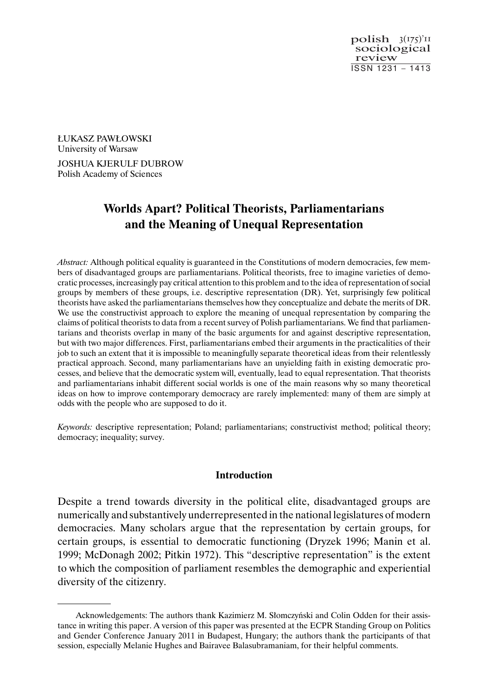sociological review polish  $3(175)^{7}$ II ISSN 1231 – 1413

ŁUKASZ PAWŁOWSKI University of Warsaw JOSHUA KJERULF DUBROW Polish Academy of Sciences

# **Worlds Apart? Political Theorists, Parliamentarians and the Meaning of Unequal Representation**

*Abstract:* Although political equality is guaranteed in the Constitutions of modern democracies, few members of disadvantaged groups are parliamentarians. Political theorists, free to imagine varieties of democratic processes, increasingly pay critical attention to this problem and to the idea of representation of social groups by members of these groups, i.e. descriptive representation (DR). Yet, surprisingly few political theorists have asked the parliamentarians themselves how they conceptualize and debate the merits of DR. We use the constructivist approach to explore the meaning of unequal representation by comparing the claims of political theorists to data from a recent survey of Polish parliamentarians. We find that parliamentarians and theorists overlap in many of the basic arguments for and against descriptive representation, but with two major differences. First, parliamentarians embed their arguments in the practicalities of their job to such an extent that it is impossible to meaningfully separate theoretical ideas from their relentlessly practical approach. Second, many parliamentarians have an unyielding faith in existing democratic processes, and believe that the democratic system will, eventually, lead to equal representation. That theorists and parliamentarians inhabit different social worlds is one of the main reasons why so many theoretical ideas on how to improve contemporary democracy are rarely implemented: many of them are simply at odds with the people who are supposed to do it.

*Keywords:* descriptive representation; Poland; parliamentarians; constructivist method; political theory; democracy; inequality; survey.

### **Introduction**

Despite a trend towards diversity in the political elite, disadvantaged groups are numerically and substantively underrepresented in the national legislatures of modern democracies. Many scholars argue that the representation by certain groups, for certain groups, is essential to democratic functioning (Dryzek 1996; Manin et al. 1999; McDonagh 2002; Pitkin 1972). This "descriptive representation" is the extent to which the composition of parliament resembles the demographic and experiential diversity of the citizenry.

Acknowledgements: The authors thank Kazimierz M. Słomczyński and Colin Odden for their assistance in writing this paper. A version of this paper was presented at the ECPR Standing Group on Politics and Gender Conference January 2011 in Budapest, Hungary; the authors thank the participants of that session, especially Melanie Hughes and Bairavee Balasubramaniam, for their helpful comments.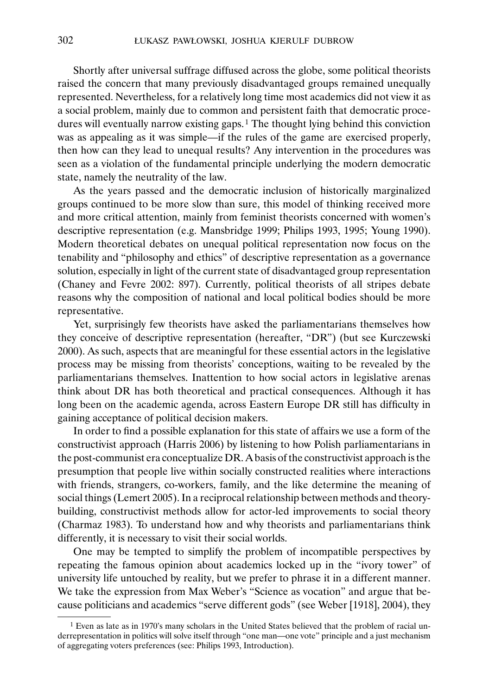Shortly after universal suffrage diffused across the globe, some political theorists raised the concern that many previously disadvantaged groups remained unequally represented. Nevertheless, for a relatively long time most academics did not view it as a social problem, mainly due to common and persistent faith that democratic procedures will eventually narrow existing gaps.<sup>1</sup> The thought lying behind this conviction was as appealing as it was simple—if the rules of the game are exercised properly, then how can they lead to unequal results? Any intervention in the procedures was seen as a violation of the fundamental principle underlying the modern democratic state, namely the neutrality of the law.

As the years passed and the democratic inclusion of historically marginalized groups continued to be more slow than sure, this model of thinking received more and more critical attention, mainly from feminist theorists concerned with women's descriptive representation (e.g. Mansbridge 1999; Philips 1993, 1995; Young 1990). Modern theoretical debates on unequal political representation now focus on the tenability and "philosophy and ethics" of descriptive representation as a governance solution, especially in light of the current state of disadvantaged group representation (Chaney and Fevre 2002: 897). Currently, political theorists of all stripes debate reasons why the composition of national and local political bodies should be more representative.

Yet, surprisingly few theorists have asked the parliamentarians themselves how they conceive of descriptive representation (hereafter, "DR") (but see Kurczewski 2000). As such, aspects that are meaningful for these essential actors in the legislative process may be missing from theorists' conceptions, waiting to be revealed by the parliamentarians themselves. Inattention to how social actors in legislative arenas think about DR has both theoretical and practical consequences. Although it has long been on the academic agenda, across Eastern Europe DR still has difficulty in gaining acceptance of political decision makers.

In order to find a possible explanation for this state of affairs we use a form of the constructivist approach (Harris 2006) by listening to how Polish parliamentarians in the post-communist era conceptualize DR. A basis of the constructivist approach is the presumption that people live within socially constructed realities where interactions with friends, strangers, co-workers, family, and the like determine the meaning of social things (Lemert 2005). In a reciprocal relationship between methods and theorybuilding, constructivist methods allow for actor-led improvements to social theory (Charmaz 1983). To understand how and why theorists and parliamentarians think differently, it is necessary to visit their social worlds.

One may be tempted to simplify the problem of incompatible perspectives by repeating the famous opinion about academics locked up in the "ivory tower" of university life untouched by reality, but we prefer to phrase it in a different manner. We take the expression from Max Weber's "Science as vocation" and argue that because politicians and academics "serve different gods" (see Weber [1918], 2004), they

<sup>1</sup> Even as late as in 1970's many scholars in the United States believed that the problem of racial underrepresentation in politics will solve itself through "one man—one vote" principle and a just mechanism of aggregating voters preferences (see: Philips 1993, Introduction).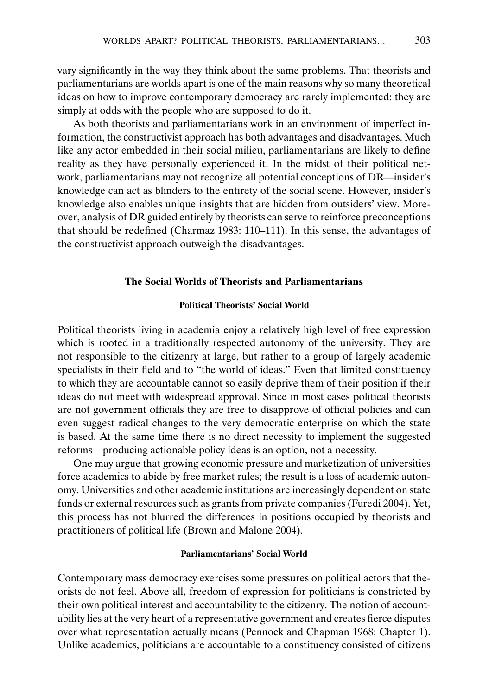vary significantly in the way they think about the same problems. That theorists and parliamentarians are worlds apart is one of the main reasons why so many theoretical ideas on how to improve contemporary democracy are rarely implemented: they are simply at odds with the people who are supposed to do it.

As both theorists and parliamentarians work in an environment of imperfect information, the constructivist approach has both advantages and disadvantages. Much like any actor embedded in their social milieu, parliamentarians are likely to define reality as they have personally experienced it. In the midst of their political network, parliamentarians may not recognize all potential conceptions of DR—insider's knowledge can act as blinders to the entirety of the social scene. However, insider's knowledge also enables unique insights that are hidden from outsiders' view. Moreover, analysis of DR guided entirely by theorists can serve to reinforce preconceptions that should be redefined (Charmaz 1983: 110–111). In this sense, the advantages of the constructivist approach outweigh the disadvantages.

### **The Social Worlds of Theorists and Parliamentarians**

### **Political Theorists' Social World**

Political theorists living in academia enjoy a relatively high level of free expression which is rooted in a traditionally respected autonomy of the university. They are not responsible to the citizenry at large, but rather to a group of largely academic specialists in their field and to "the world of ideas." Even that limited constituency to which they are accountable cannot so easily deprive them of their position if their ideas do not meet with widespread approval. Since in most cases political theorists are not government officials they are free to disapprove of official policies and can even suggest radical changes to the very democratic enterprise on which the state is based. At the same time there is no direct necessity to implement the suggested reforms—producing actionable policy ideas is an option, not a necessity.

One may argue that growing economic pressure and marketization of universities force academics to abide by free market rules; the result is a loss of academic autonomy. Universities and other academic institutions are increasingly dependent on state funds or external resources such as grants from private companies (Furedi 2004). Yet, this process has not blurred the differences in positions occupied by theorists and practitioners of political life (Brown and Malone 2004).

#### **Parliamentarians' Social World**

Contemporary mass democracy exercises some pressures on political actors that theorists do not feel. Above all, freedom of expression for politicians is constricted by their own political interest and accountability to the citizenry. The notion of accountability lies at the very heart of a representative government and creates fierce disputes over what representation actually means (Pennock and Chapman 1968: Chapter 1). Unlike academics, politicians are accountable to a constituency consisted of citizens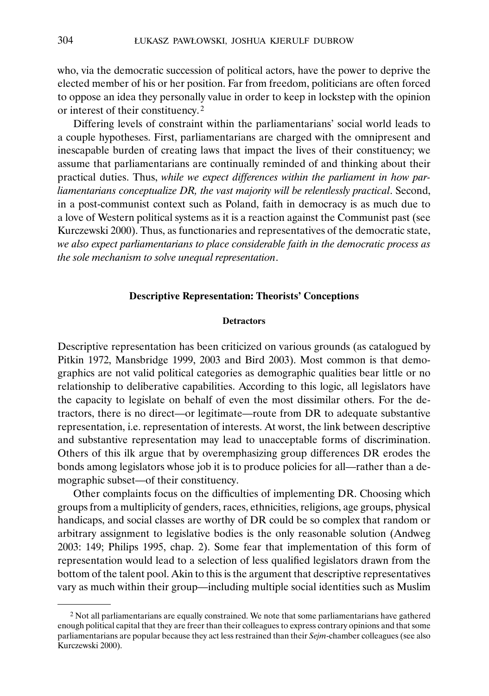who, via the democratic succession of political actors, have the power to deprive the elected member of his or her position. Far from freedom, politicians are often forced to oppose an idea they personally value in order to keep in lockstep with the opinion or interest of their constituency. <sup>2</sup>

Differing levels of constraint within the parliamentarians' social world leads to a couple hypotheses. First, parliamentarians are charged with the omnipresent and inescapable burden of creating laws that impact the lives of their constituency; we assume that parliamentarians are continually reminded of and thinking about their practical duties. Thus, *while we expect differences within the parliament in how parliamentarians conceptualize DR, the vast majority will be relentlessly practical*. Second, in a post-communist context such as Poland, faith in democracy is as much due to a love of Western political systems as it is a reaction against the Communist past (see Kurczewski 2000). Thus, as functionaries and representatives of the democratic state, *we also expect parliamentarians to place considerable faith in the democratic process as the sole mechanism to solve unequal representation*.

# **Descriptive Representation: Theorists' Conceptions**

#### **Detractors**

Descriptive representation has been criticized on various grounds (as catalogued by Pitkin 1972, Mansbridge 1999, 2003 and Bird 2003). Most common is that demographics are not valid political categories as demographic qualities bear little or no relationship to deliberative capabilities. According to this logic, all legislators have the capacity to legislate on behalf of even the most dissimilar others. For the detractors, there is no direct—or legitimate—route from DR to adequate substantive representation, i.e. representation of interests. At worst, the link between descriptive and substantive representation may lead to unacceptable forms of discrimination. Others of this ilk argue that by overemphasizing group differences DR erodes the bonds among legislators whose job it is to produce policies for all—rather than a demographic subset—of their constituency.

Other complaints focus on the difficulties of implementing DR. Choosing which groups from a multiplicity of genders, races, ethnicities, religions, age groups, physical handicaps, and social classes are worthy of DR could be so complex that random or arbitrary assignment to legislative bodies is the only reasonable solution (Andweg 2003: 149; Philips 1995, chap. 2). Some fear that implementation of this form of representation would lead to a selection of less qualified legislators drawn from the bottom of the talent pool. Akin to this is the argument that descriptive representatives vary as much within their group—including multiple social identities such as Muslim

<sup>2</sup> Not all parliamentarians are equally constrained. We note that some parliamentarians have gathered enough political capital that they are freer than their colleagues to express contrary opinions and that some parliamentarians are popular because they act less restrained than their *Sejm*-chamber colleagues (see also Kurczewski 2000).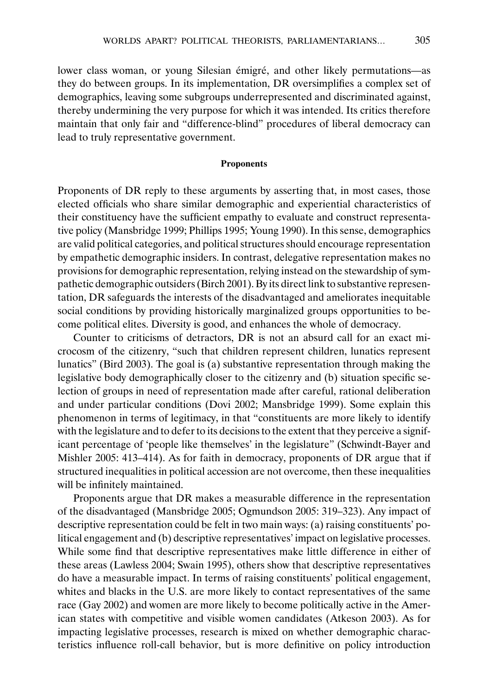lower class woman, or young Silesian émigré, and other likely permutations—as they do between groups. In its implementation, DR oversimplifies a complex set of demographics, leaving some subgroups underrepresented and discriminated against, thereby undermining the very purpose for which it was intended. Its critics therefore maintain that only fair and "difference-blind" procedures of liberal democracy can lead to truly representative government.

#### **Proponents**

Proponents of DR reply to these arguments by asserting that, in most cases, those elected officials who share similar demographic and experiential characteristics of their constituency have the sufficient empathy to evaluate and construct representative policy (Mansbridge 1999; Phillips 1995; Young 1990). In this sense, demographics are valid political categories, and political structures should encourage representation by empathetic demographic insiders. In contrast, delegative representation makes no provisions for demographic representation, relying instead on the stewardship of sympathetic demographic outsiders (Birch 2001). By its direct link to substantive representation, DR safeguards the interests of the disadvantaged and ameliorates inequitable social conditions by providing historically marginalized groups opportunities to become political elites. Diversity is good, and enhances the whole of democracy.

Counter to criticisms of detractors, DR is not an absurd call for an exact microcosm of the citizenry, "such that children represent children, lunatics represent lunatics" (Bird 2003). The goal is (a) substantive representation through making the legislative body demographically closer to the citizenry and (b) situation specific selection of groups in need of representation made after careful, rational deliberation and under particular conditions (Dovi 2002; Mansbridge 1999). Some explain this phenomenon in terms of legitimacy, in that "constituents are more likely to identify with the legislature and to defer to its decisions to the extent that they perceive a significant percentage of 'people like themselves' in the legislature" (Schwindt-Bayer and Mishler 2005: 413–414). As for faith in democracy, proponents of DR argue that if structured inequalities in political accession are not overcome, then these inequalities will be infinitely maintained.

Proponents argue that DR makes a measurable difference in the representation of the disadvantaged (Mansbridge 2005; Ogmundson 2005: 319–323). Any impact of descriptive representation could be felt in two main ways: (a) raising constituents' political engagement and (b) descriptive representatives' impact on legislative processes. While some find that descriptive representatives make little difference in either of these areas (Lawless 2004; Swain 1995), others show that descriptive representatives do have a measurable impact. In terms of raising constituents' political engagement, whites and blacks in the U.S. are more likely to contact representatives of the same race (Gay 2002) and women are more likely to become politically active in the American states with competitive and visible women candidates (Atkeson 2003). As for impacting legislative processes, research is mixed on whether demographic characteristics influence roll-call behavior, but is more definitive on policy introduction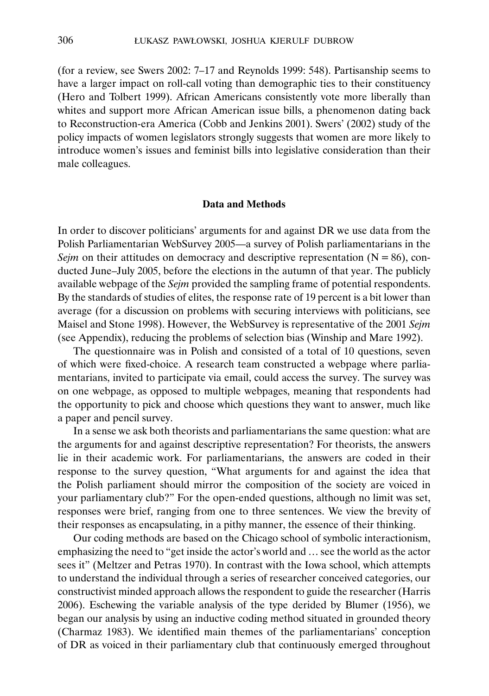(for a review, see Swers 2002: 7–17 and Reynolds 1999: 548). Partisanship seems to have a larger impact on roll-call voting than demographic ties to their constituency (Hero and Tolbert 1999). African Americans consistently vote more liberally than whites and support more African American issue bills, a phenomenon dating back to Reconstruction-era America (Cobb and Jenkins 2001). Swers' (2002) study of the policy impacts of women legislators strongly suggests that women are more likely to introduce women's issues and feminist bills into legislative consideration than their male colleagues.

#### **Data and Methods**

In order to discover politicians' arguments for and against DR we use data from the Polish Parliamentarian WebSurvey 2005—a survey of Polish parliamentarians in the *Sejm* on their attitudes on democracy and descriptive representation  $(N = 86)$ , conducted June–July 2005, before the elections in the autumn of that year. The publicly available webpage of the *Sejm* provided the sampling frame of potential respondents. By the standards of studies of elites, the response rate of 19 percent is a bit lower than average (for a discussion on problems with securing interviews with politicians, see Maisel and Stone 1998). However, the WebSurvey is representative of the 2001 *Sejm* (see Appendix), reducing the problems of selection bias (Winship and Mare 1992).

The questionnaire was in Polish and consisted of a total of 10 questions, seven of which were fixed-choice. A research team constructed a webpage where parliamentarians, invited to participate via email, could access the survey. The survey was on one webpage, as opposed to multiple webpages, meaning that respondents had the opportunity to pick and choose which questions they want to answer, much like a paper and pencil survey.

In a sense we ask both theorists and parliamentarians the same question: what are the arguments for and against descriptive representation? For theorists, the answers lie in their academic work. For parliamentarians, the answers are coded in their response to the survey question, "What arguments for and against the idea that the Polish parliament should mirror the composition of the society are voiced in your parliamentary club?" For the open-ended questions, although no limit was set, responses were brief, ranging from one to three sentences. We view the brevity of their responses as encapsulating, in a pithy manner, the essence of their thinking.

Our coding methods are based on the Chicago school of symbolic interactionism, emphasizing the need to "get inside the actor's world and … see the world as the actor sees it" (Meltzer and Petras 1970). In contrast with the Iowa school, which attempts to understand the individual through a series of researcher conceived categories, our constructivist minded approach allows the respondent to guide the researcher (Harris 2006). Eschewing the variable analysis of the type derided by Blumer (1956), we began our analysis by using an inductive coding method situated in grounded theory (Charmaz 1983). We identified main themes of the parliamentarians' conception of DR as voiced in their parliamentary club that continuously emerged throughout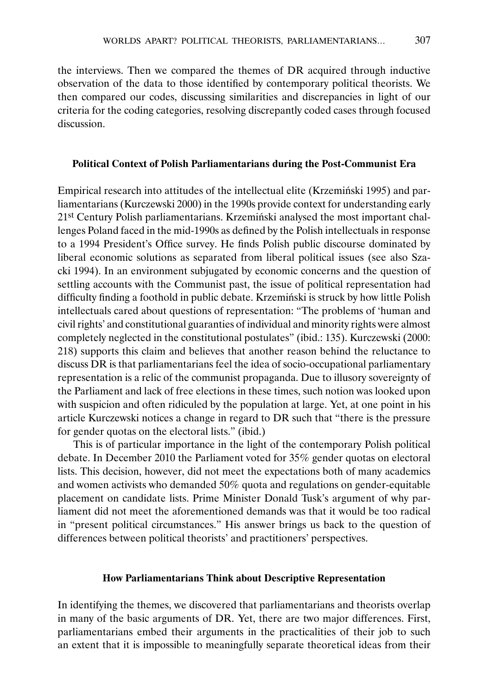the interviews. Then we compared the themes of DR acquired through inductive observation of the data to those identified by contemporary political theorists. We then compared our codes, discussing similarities and discrepancies in light of our criteria for the coding categories, resolving discrepantly coded cases through focused discussion.

# **Political Context of Polish Parliamentarians during the Post-Communist Era**

Empirical research into attitudes of the intellectual elite (Krzemiński 1995) and parliamentarians (Kurczewski 2000) in the 1990s provide context for understanding early 21st Century Polish parliamentarians. Krzemiński analysed the most important challenges Poland faced in the mid-1990s as defined by the Polish intellectuals in response to a 1994 President's Office survey. He finds Polish public discourse dominated by liberal economic solutions as separated from liberal political issues (see also Szacki 1994). In an environment subjugated by economic concerns and the question of settling accounts with the Communist past, the issue of political representation had difficulty finding a foothold in public debate. Krzemiński is struck by how little Polish intellectuals cared about questions of representation: "The problems of 'human and civil rights' and constitutional guaranties of individual and minority rights were almost completely neglected in the constitutional postulates" (ibid.: 135). Kurczewski (2000: 218) supports this claim and believes that another reason behind the reluctance to discuss DR is that parliamentarians feel the idea of socio-occupational parliamentary representation is a relic of the communist propaganda. Due to illusory sovereignty of the Parliament and lack of free elections in these times, such notion was looked upon with suspicion and often ridiculed by the population at large. Yet, at one point in his article Kurczewski notices a change in regard to DR such that "there is the pressure for gender quotas on the electoral lists." (ibid.)

This is of particular importance in the light of the contemporary Polish political debate. In December 2010 the Parliament voted for 35% gender quotas on electoral lists. This decision, however, did not meet the expectations both of many academics and women activists who demanded 50% quota and regulations on gender-equitable placement on candidate lists. Prime Minister Donald Tusk's argument of why parliament did not meet the aforementioned demands was that it would be too radical in "present political circumstances." His answer brings us back to the question of differences between political theorists' and practitioners' perspectives.

# **How Parliamentarians Think about Descriptive Representation**

In identifying the themes, we discovered that parliamentarians and theorists overlap in many of the basic arguments of DR. Yet, there are two major differences. First, parliamentarians embed their arguments in the practicalities of their job to such an extent that it is impossible to meaningfully separate theoretical ideas from their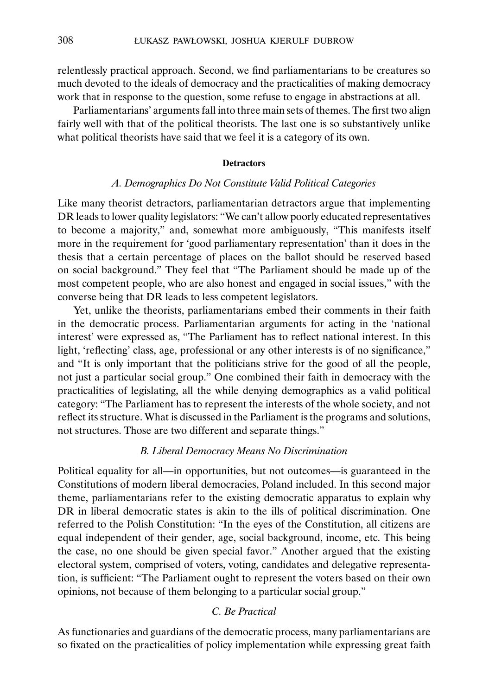relentlessly practical approach. Second, we find parliamentarians to be creatures so much devoted to the ideals of democracy and the practicalities of making democracy work that in response to the question, some refuse to engage in abstractions at all.

Parliamentarians' arguments fall into three main sets of themes. The first two align fairly well with that of the political theorists. The last one is so substantively unlike what political theorists have said that we feel it is a category of its own.

#### **Detractors**

# *A. Demographics Do Not Constitute Valid Political Categories*

Like many theorist detractors, parliamentarian detractors argue that implementing DR leads to lower quality legislators: "We can't allow poorly educated representatives to become a majority," and, somewhat more ambiguously, "This manifests itself more in the requirement for 'good parliamentary representation' than it does in the thesis that a certain percentage of places on the ballot should be reserved based on social background." They feel that "The Parliament should be made up of the most competent people, who are also honest and engaged in social issues," with the converse being that DR leads to less competent legislators.

Yet, unlike the theorists, parliamentarians embed their comments in their faith in the democratic process. Parliamentarian arguments for acting in the 'national interest' were expressed as, "The Parliament has to reflect national interest. In this light, 'reflecting' class, age, professional or any other interests is of no significance," and "It is only important that the politicians strive for the good of all the people, not just a particular social group." One combined their faith in democracy with the practicalities of legislating, all the while denying demographics as a valid political category: "The Parliament has to represent the interests of the whole society, and not reflect its structure. What is discussed in the Parliament is the programs and solutions, not structures. Those are two different and separate things."

# *B. Liberal Democracy Means No Discrimination*

Political equality for all—in opportunities, but not outcomes—is guaranteed in the Constitutions of modern liberal democracies, Poland included. In this second major theme, parliamentarians refer to the existing democratic apparatus to explain why DR in liberal democratic states is akin to the ills of political discrimination. One referred to the Polish Constitution: "In the eyes of the Constitution, all citizens are equal independent of their gender, age, social background, income, etc. This being the case, no one should be given special favor." Another argued that the existing electoral system, comprised of voters, voting, candidates and delegative representation, is sufficient: "The Parliament ought to represent the voters based on their own opinions, not because of them belonging to a particular social group."

# *C. Be Practical*

As functionaries and guardians of the democratic process, many parliamentarians are so fixated on the practicalities of policy implementation while expressing great faith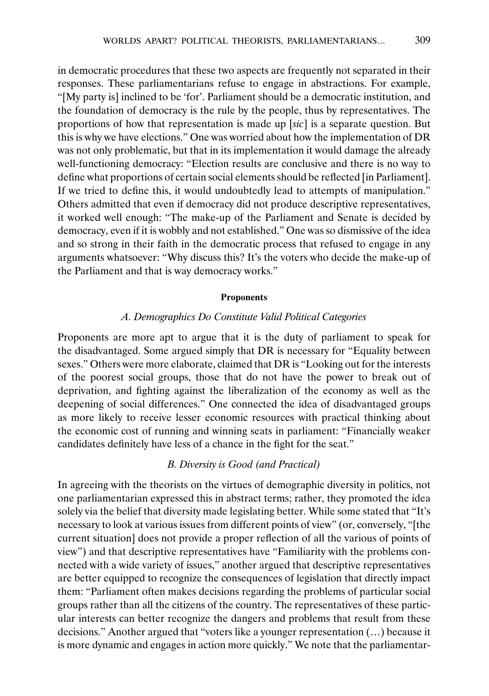in democratic procedures that these two aspects are frequently not separated in their responses. These parliamentarians refuse to engage in abstractions. For example, "[My party is] inclined to be 'for'. Parliament should be a democratic institution, and the foundation of democracy is the rule by the people, thus by representatives. The proportions of how that representation is made up [*sic*] is a separate question. But this is why we have elections." One was worried about how the implementation of DR was not only problematic, but that in its implementation it would damage the already well-functioning democracy: "Election results are conclusive and there is no way to define what proportions of certain social elements should be reflected [in Parliament]. If we tried to define this, it would undoubtedly lead to attempts of manipulation." Others admitted that even if democracy did not produce descriptive representatives, it worked well enough: "The make-up of the Parliament and Senate is decided by democracy, even if it is wobbly and not established." One was so dismissive of the idea and so strong in their faith in the democratic process that refused to engage in any arguments whatsoever: "Why discuss this? It's the voters who decide the make-up of the Parliament and that is way democracy works."

### **Proponents**

# *A. Demographics Do Constitute Valid Political Categories*

Proponents are more apt to argue that it is the duty of parliament to speak for the disadvantaged. Some argued simply that DR is necessary for "Equality between sexes." Others were more elaborate, claimed that DR is "Looking out for the interests of the poorest social groups, those that do not have the power to break out of deprivation, and fighting against the liberalization of the economy as well as the deepening of social differences." One connected the idea of disadvantaged groups as more likely to receive lesser economic resources with practical thinking about the economic cost of running and winning seats in parliament: "Financially weaker candidates definitely have less of a chance in the fight for the seat."

# *B. Diversity is Good (and Practical)*

In agreeing with the theorists on the virtues of demographic diversity in politics, not one parliamentarian expressed this in abstract terms; rather, they promoted the idea solely via the belief that diversity made legislating better. While some stated that "It's necessary to look at various issues from different points of view" (or, conversely, "[the current situation] does not provide a proper reflection of all the various of points of view") and that descriptive representatives have "Familiarity with the problems connected with a wide variety of issues," another argued that descriptive representatives are better equipped to recognize the consequences of legislation that directly impact them: "Parliament often makes decisions regarding the problems of particular social groups rather than all the citizens of the country. The representatives of these particular interests can better recognize the dangers and problems that result from these decisions." Another argued that "voters like a younger representation (…) because it is more dynamic and engages in action more quickly." We note that the parliamentar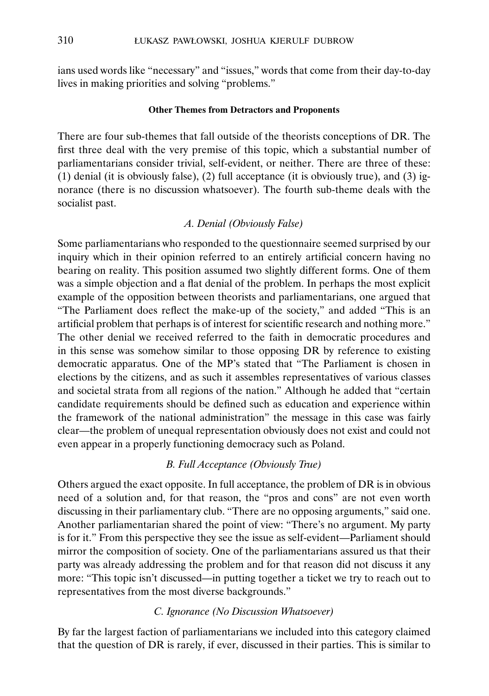ians used words like "necessary" and "issues," words that come from their day-to-day lives in making priorities and solving "problems."

### **Other Themes from Detractors and Proponents**

There are four sub-themes that fall outside of the theorists conceptions of DR. The first three deal with the very premise of this topic, which a substantial number of parliamentarians consider trivial, self-evident, or neither. There are three of these: (1) denial (it is obviously false), (2) full acceptance (it is obviously true), and (3) ignorance (there is no discussion whatsoever). The fourth sub-theme deals with the socialist past.

# *A. Denial (Obviously False)*

Some parliamentarians who responded to the questionnaire seemed surprised by our inquiry which in their opinion referred to an entirely artificial concern having no bearing on reality. This position assumed two slightly different forms. One of them was a simple objection and a flat denial of the problem. In perhaps the most explicit example of the opposition between theorists and parliamentarians, one argued that "The Parliament does reflect the make-up of the society," and added "This is an artificial problem that perhaps is of interest for scientific research and nothing more." The other denial we received referred to the faith in democratic procedures and in this sense was somehow similar to those opposing DR by reference to existing democratic apparatus. One of the MP's stated that "The Parliament is chosen in elections by the citizens, and as such it assembles representatives of various classes and societal strata from all regions of the nation." Although he added that "certain candidate requirements should be defined such as education and experience within the framework of the national administration" the message in this case was fairly clear—the problem of unequal representation obviously does not exist and could not even appear in a properly functioning democracy such as Poland.

# *B. Full Acceptance (Obviously True)*

Others argued the exact opposite. In full acceptance, the problem of DR is in obvious need of a solution and, for that reason, the "pros and cons" are not even worth discussing in their parliamentary club. "There are no opposing arguments," said one. Another parliamentarian shared the point of view: "There's no argument. My party is for it." From this perspective they see the issue as self-evident—Parliament should mirror the composition of society. One of the parliamentarians assured us that their party was already addressing the problem and for that reason did not discuss it any more: "This topic isn't discussed—in putting together a ticket we try to reach out to representatives from the most diverse backgrounds."

# *C. Ignorance (No Discussion Whatsoever)*

By far the largest faction of parliamentarians we included into this category claimed that the question of DR is rarely, if ever, discussed in their parties. This is similar to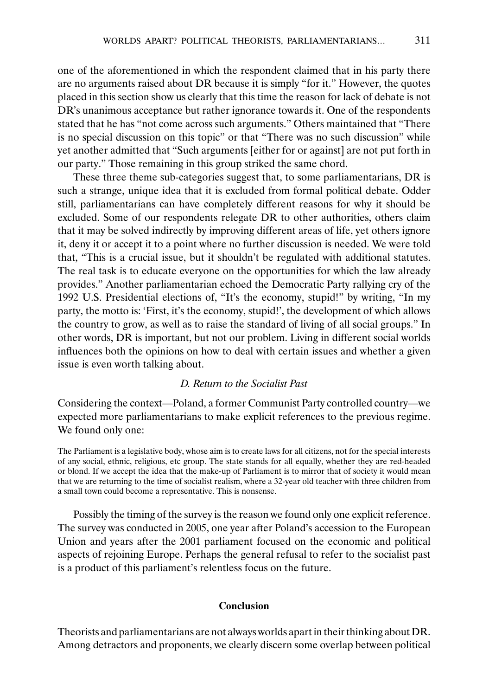one of the aforementioned in which the respondent claimed that in his party there are no arguments raised about DR because it is simply "for it." However, the quotes placed in this section show us clearly that this time the reason for lack of debate is not DR's unanimous acceptance but rather ignorance towards it. One of the respondents stated that he has "not come across such arguments." Others maintained that "There is no special discussion on this topic" or that "There was no such discussion" while yet another admitted that "Such arguments [either for or against] are not put forth in our party." Those remaining in this group striked the same chord.

These three theme sub-categories suggest that, to some parliamentarians, DR is such a strange, unique idea that it is excluded from formal political debate. Odder still, parliamentarians can have completely different reasons for why it should be excluded. Some of our respondents relegate DR to other authorities, others claim that it may be solved indirectly by improving different areas of life, yet others ignore it, deny it or accept it to a point where no further discussion is needed. We were told that, "This is a crucial issue, but it shouldn't be regulated with additional statutes. The real task is to educate everyone on the opportunities for which the law already provides." Another parliamentarian echoed the Democratic Party rallying cry of the 1992 U.S. Presidential elections of, "It's the economy, stupid!" by writing, "In my party, the motto is: 'First, it's the economy, stupid!', the development of which allows the country to grow, as well as to raise the standard of living of all social groups." In other words, DR is important, but not our problem. Living in different social worlds influences both the opinions on how to deal with certain issues and whether a given issue is even worth talking about.

# *D. Return to the Socialist Past*

Considering the context—Poland, a former Communist Party controlled country—we expected more parliamentarians to make explicit references to the previous regime. We found only one:

The Parliament is a legislative body, whose aim is to create laws for all citizens, not for the special interests of any social, ethnic, religious, etc group. The state stands for all equally, whether they are red-headed or blond. If we accept the idea that the make-up of Parliament is to mirror that of society it would mean that we are returning to the time of socialist realism, where a 32-year old teacher with three children from a small town could become a representative. This is nonsense.

Possibly the timing of the survey is the reason we found only one explicit reference. The survey was conducted in 2005, one year after Poland's accession to the European Union and years after the 2001 parliament focused on the economic and political aspects of rejoining Europe. Perhaps the general refusal to refer to the socialist past is a product of this parliament's relentless focus on the future.

### **Conclusion**

Theorists and parliamentarians are not always worlds apart in their thinking about DR. Among detractors and proponents, we clearly discern some overlap between political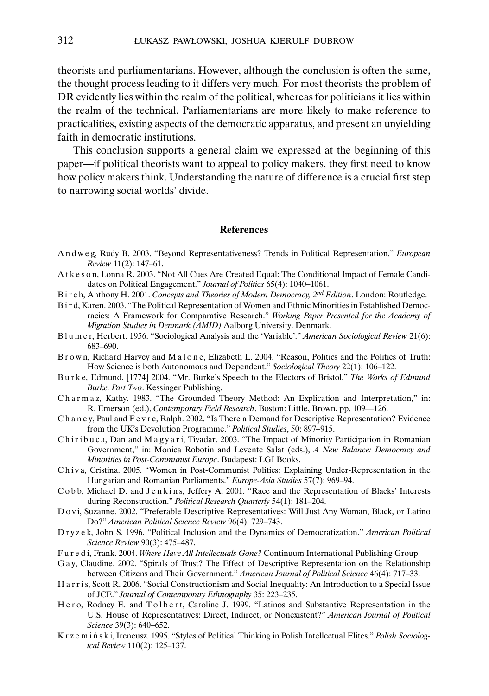theorists and parliamentarians. However, although the conclusion is often the same, the thought process leading to it differs very much. For most theorists the problem of DR evidently lies within the realm of the political, whereas for politicians it lies within the realm of the technical. Parliamentarians are more likely to make reference to practicalities, existing aspects of the democratic apparatus, and present an unyielding faith in democratic institutions.

This conclusion supports a general claim we expressed at the beginning of this paper—if political theorists want to appeal to policy makers, they first need to know how policy makers think. Understanding the nature of difference is a crucial first step to narrowing social worlds' divide.

### **References**

- A n d w e g, Rudy B. 2003. "Beyond Representativeness? Trends in Political Representation." *European Review* 11(2): 147–61.
- A t k e s o n, Lonna R. 2003. "Not All Cues Are Created Equal: The Conditional Impact of Female Candidates on Political Engagement." *Journal of Politics* 65(4): 1040–1061.
- B i r c h, Anthony H. 2001. *Concepts and Theories of Modern Democracy, 2nd Edition*. London: Routledge.
- B i r d, Karen. 2003. "The Political Representation of Women and Ethnic Minorities in Established Democracies: A Framework for Comparative Research." *Working Paper Presented for the Academy of Migration Studies in Denmark (AMID)* Aalborg University. Denmark.
- B l u m e r, Herbert. 1956. "Sociological Analysis and the 'Variable'." *American Sociological Review* 21(6): 683–690.
- Brown, Richard Harvey and Malone, Elizabeth L. 2004. "Reason, Politics and the Politics of Truth: How Science is both Autonomous and Dependent." *Sociological Theory* 22(1): 106–122.
- B u r k e, Edmund. [1774] 2004. "Mr. Burke's Speech to the Electors of Bristol," *The Works of Edmund Burke. Part Two*. Kessinger Publishing.
- C h a r m a z, Kathy. 1983. "The Grounded Theory Method: An Explication and Interpretation," in: R. Emerson (ed.), *Contemporary Field Research*. Boston: Little, Brown, pp. 109—126.
- C h a n e y, Paul and F e v r e, Ralph. 2002. "Is There a Demand for Descriptive Representation? Evidence from the UK's Devolution Programme." *Political Studies*, 50: 897–915.
- Chiribuca, Dan and Magyari, Tivadar. 2003. "The Impact of Minority Participation in Romanian Government," in: Monica Robotin and Levente Salat (eds.), *A New Balance: Democracy and Minorities in Post-Communist Europe*. Budapest: LGI Books.
- Chiva, Cristina. 2005. "Women in Post-Communist Politics: Explaining Under-Representation in the Hungarian and Romanian Parliaments." *Europe-Asia Studies* 57(7): 969–94.
- Cobb, Michael D. and Jenkins, Jeffery A. 2001. "Race and the Representation of Blacks' Interests during Reconstruction." *Political Research Quarterly* 54(1): 181–204.
- D o v i, Suzanne. 2002. "Preferable Descriptive Representatives: Will Just Any Woman, Black, or Latino Do?" *American Political Science Review* 96(4): 729–743.
- D r y z e k, John S. 1996. "Political Inclusion and the Dynamics of Democratization." *American Political Science Review* 90(3): 475–487.
- F u r e d i, Frank. 2004. *Where Have All Intellectuals Gone?* Continuum International Publishing Group.
- G a y, Claudine. 2002. "Spirals of Trust? The Effect of Descriptive Representation on the Relationship between Citizens and Their Government." *American Journal of Political Science* 46(4): 717–33.
- H a r r i s, Scott R. 2006. "Social Constructionism and Social Inequality: An Introduction to a Special Issue of JCE." *Journal of Contemporary Ethnography* 35: 223–235.
- Hero, Rodney E. and Tolbert, Caroline J. 1999. "Latinos and Substantive Representation in the U.S. House of Representatives: Direct, Indirect, or Nonexistent?" *American Journal of Political Science* 39(3): 640–652.
- K r z e m i ń s k i, Ireneusz. 1995. "Styles of Political Thinking in Polish Intellectual Elites." *Polish Sociological Review* 110(2): 125–137.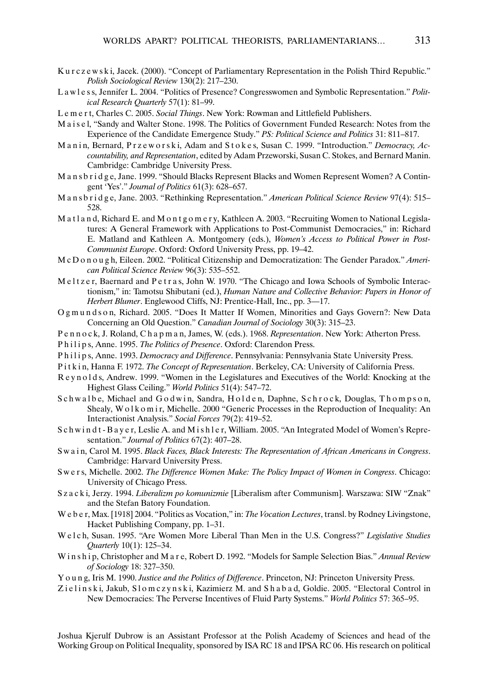- K u r c z e w s k i, Jacek. (2000). "Concept of Parliamentary Representation in the Polish Third Republic." *Polish Sociological Review* 130(2): 217–230.
- L a w l e s s, Jennifer L. 2004. "Politics of Presence? Congresswomen and Symbolic Representation." *Political Research Quarterly* 57(1): 81–99.
- L e m e r t, Charles C. 2005. *Social Things*. New York: Rowman and Littlefield Publishers.
- M a i s e l, "Sandy and Walter Stone. 1998. The Politics of Government Funded Research: Notes from the Experience of the Candidate Emergence Study." *PS: Political Science and Politics* 31: 811–817.
- M a n i n, Bernard, P r z e w o r s k i, Adam and S t o k e s, Susan C. 1999. "Introduction." *Democracy, Accountability, and Representation*, edited by Adam Przeworski, Susan C. Stokes, and Bernard Manin. Cambridge: Cambridge University Press.
- M a n s b r i d g e, Jane. 1999. "Should Blacks Represent Blacks and Women Represent Women? A Contingent 'Yes'." *Journal of Politics* 61(3): 628–657.
- M a n s b r i d g e, Jane. 2003. "Rethinking Representation." *American Political Science Review* 97(4): 515– 528.
- M a t l a n d, Richard E. and M o n t g o m e r y, Kathleen A. 2003. "Recruiting Women to National Legislatures: A General Framework with Applications to Post-Communist Democracies," in: Richard E. Matland and Kathleen A. Montgomery (eds.), *Women's Access to Political Power in Post-Communist Europe*. Oxford: Oxford University Press, pp. 19–42.
- M c D o n o u g h, Eileen. 2002. "Political Citizenship and Democratization: The Gender Paradox." *American Political Science Review* 96(3): 535–552.
- M e l t z e r, Baernard and P e t r a s, John W. 1970. "The Chicago and Iowa Schools of Symbolic Interactionism," in: Tamotsu Shibutani (ed.), *Human Nature and Collective Behavior: Papers in Honor of Herbert Blumer*. Englewood Cliffs, NJ: Prentice-Hall, Inc., pp. 3—17.
- O g m u n d s o n, Richard. 2005. "Does It Matter If Women, Minorities and Gays Govern?: New Data Concerning an Old Question." *Canadian Journal of Sociology* 30(3): 315–23.
- P e n n o c k, J. Roland, C h a p m a n, James, W. (eds.). 1968. *Representation*. New York: Atherton Press.
- P h i l i p s, Anne. 1995. *The Politics of Presence*. Oxford: Clarendon Press.
- P h i l i p s, Anne. 1993. *Democracy and Difference*. Pennsylvania: Pennsylvania State University Press.
- P i t k i n, Hanna F. 1972. *The Concept of Representation*. Berkeley, CA: University of California Press.
- R e y n o l d s, Andrew. 1999. "Women in the Legislatures and Executives of the World: Knocking at the Highest Glass Ceiling." *World Politics* 51(4): 547–72.
- Schwalbe, Michael and Godwin, Sandra, Holden, Daphne, Schrock, Douglas, Thompson, Shealy, Wolkomir, Michelle. 2000 "Generic Processes in the Reproduction of Inequality: An Interactionist Analysis." *Social Forces* 79(2): 419–52.
- Schwindt Bayer, Leslie A. and Mishler, William. 2005. "An Integrated Model of Women's Representation." *Journal of Politics* 67(2): 407–28.
- Sw a in, Carol M. 1995. *Black Faces, Black Interests: The Representation of African Americans in Congress*. Cambridge: Harvard University Press.
- S w e r s, Michelle. 2002. *The Difference Women Make: The Policy Impact of Women in Congress*. Chicago: University of Chicago Press.
- S z a c k i, Jerzy. 1994. *Liberalizm po komunizmie* [Liberalism after Communism]. Warszawa: SIW "Znak" and the Stefan Batory Foundation.
- W e b e r, Max. [1918] 2004. "Politics as Vocation," in: *The Vocation Lectures*, transl. by Rodney Livingstone, Hacket Publishing Company, pp. 1–31.
- W e l c h, Susan. 1995. "Are Women More Liberal Than Men in the U.S. Congress?" *Legislative Studies Quarterly* 10(1): 125–34.
- W i n s h i p, Christopher and M a r e, Robert D. 1992. "Models for Sample Selection Bias." *Annual Review of Sociology* 18: 327–350.
- Y o u n g, Iris M. 1990. *Justice and the Politics of Difference*. Princeton, NJ: Princeton University Press.
- Zielinski, Jakub, Slomczynski, Kazimierz M. and Shabad, Goldie. 2005. "Electoral Control in New Democracies: The Perverse Incentives of Fluid Party Systems." *World Politics* 57: 365–95.

Joshua Kjerulf Dubrow is an Assistant Professor at the Polish Academy of Sciences and head of the Working Group on Political Inequality, sponsored by ISA RC 18 and IPSA RC 06. His research on political